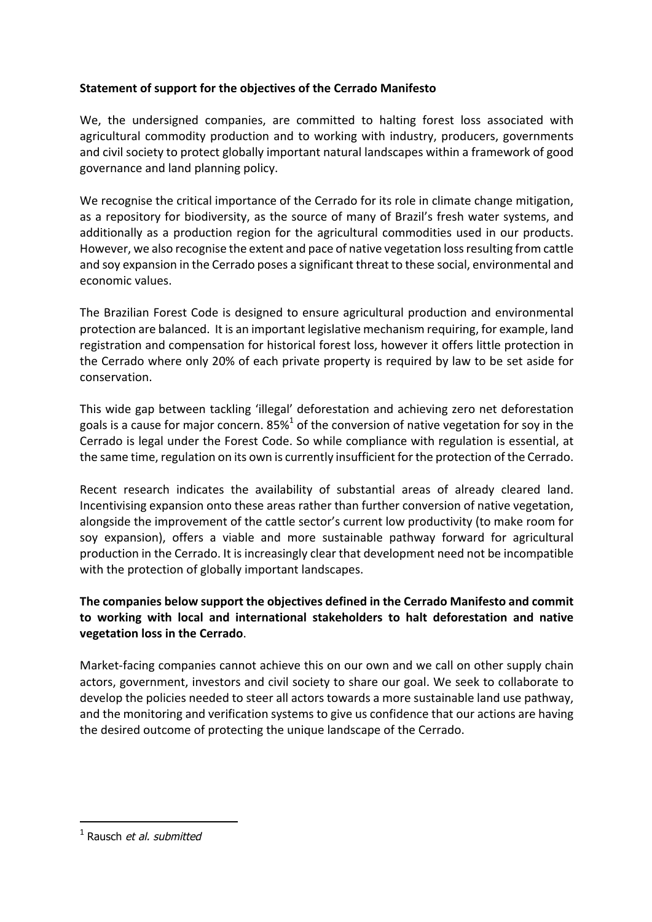## **Statement of support for the objectives of the Cerrado Manifesto**

We, the undersigned companies, are committed to halting forest loss associated with agricultural commodity production and to working with industry, producers, governments and civil society to protect globally important natural landscapes within a framework of good governance and land planning policy.

We recognise the critical importance of the Cerrado for its role in climate change mitigation, as a repository for biodiversity, as the source of many of Brazil's fresh water systems, and additionally as a production region for the agricultural commodities used in our products. However, we also recognise the extent and pace of native vegetation loss resulting from cattle and soy expansion in the Cerrado poses a significant threat to these social, environmental and economic values.

The Brazilian Forest Code is designed to ensure agricultural production and environmental protection are balanced. It is an important legislative mechanism requiring, for example, land registration and compensation for historical forest loss, however it offers little protection in the Cerrado where only 20% of each private property is required by law to be set aside for conservation. 

This wide gap between tackling 'illegal' deforestation and achieving zero net deforestation goals is a cause for major concern. 85%<sup>1</sup> of the conversion of native vegetation for soy in the Cerrado is legal under the Forest Code. So while compliance with regulation is essential, at the same time, regulation on its own is currently insufficient for the protection of the Cerrado.

Recent research indicates the availability of substantial areas of already cleared land. Incentivising expansion onto these areas rather than further conversion of native vegetation, alongside the improvement of the cattle sector's current low productivity (to make room for soy expansion), offers a viable and more sustainable pathway forward for agricultural production in the Cerrado. It is increasingly clear that development need not be incompatible with the protection of globally important landscapes.

## The companies below support the objectives defined in the Cerrado Manifesto and commit to working with local and international stakeholders to halt deforestation and native **vegetation loss in the Cerrado.**

Market-facing companies cannot achieve this on our own and we call on other supply chain actors, government, investors and civil society to share our goal. We seek to collaborate to develop the policies needed to steer all actors towards a more sustainable land use pathway, and the monitoring and verification systems to give us confidence that our actions are having the desired outcome of protecting the unique landscape of the Cerrado.

 

 $<sup>1</sup>$  Rausch *et al. submitted*</sup>